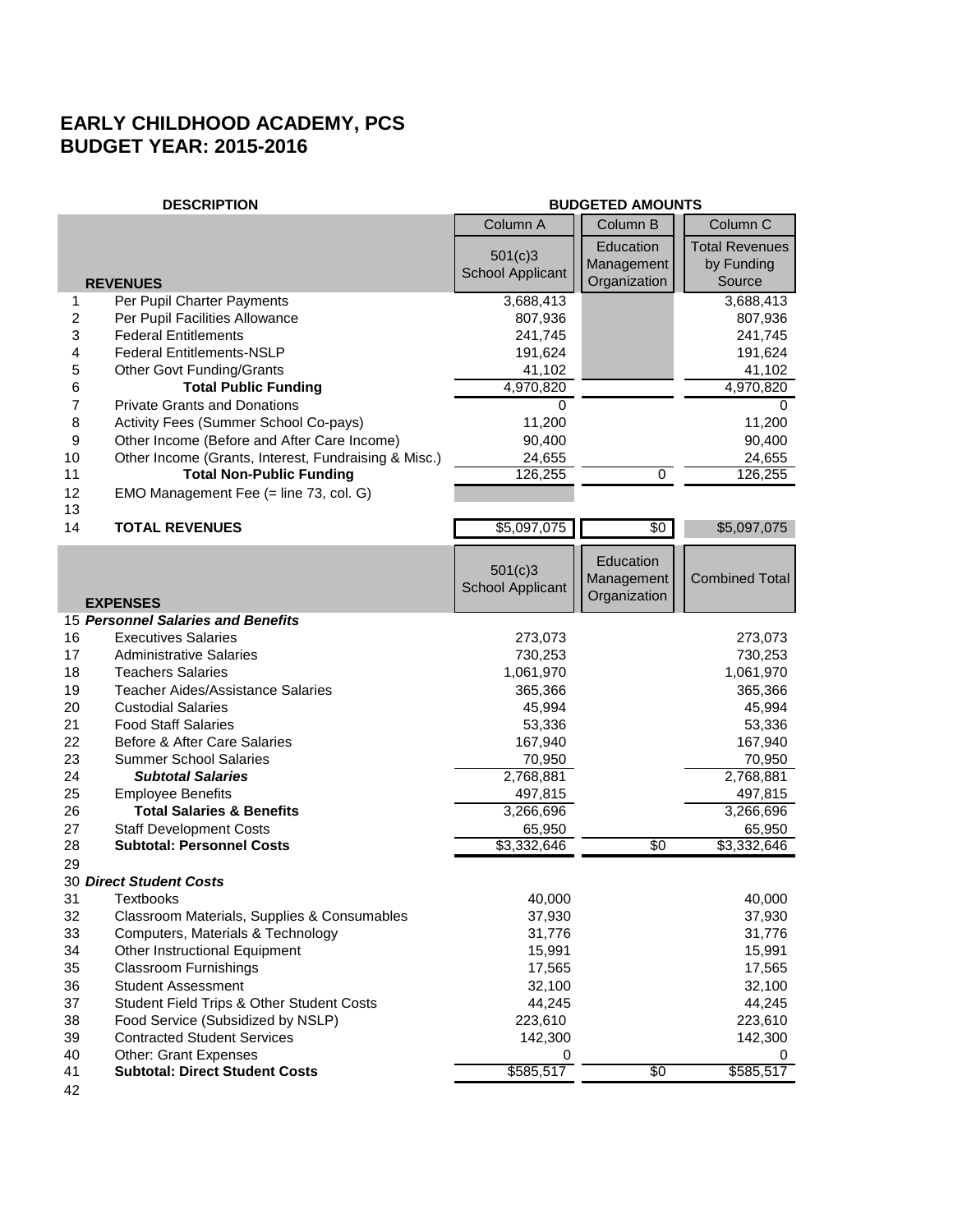## **EARLY CHILDHOOD ACADEMY, PCS BUDGET YEAR: 2015-2016**

|                | <b>DESCRIPTION</b>                                   | <b>BUDGETED AMOUNTS</b> |                |                       |
|----------------|------------------------------------------------------|-------------------------|----------------|-----------------------|
|                |                                                      | Column A                | Column B       | Column C              |
|                |                                                      | 501(c)3                 | Education      | <b>Total Revenues</b> |
|                |                                                      | <b>School Applicant</b> | Management     | by Funding            |
|                | <b>REVENUES</b>                                      |                         | Organization   | Source                |
| 1              | Per Pupil Charter Payments                           | 3,688,413               |                | 3,688,413             |
| 2              | Per Pupil Facilities Allowance                       | 807,936                 |                | 807,936               |
| 3              | <b>Federal Entitlements</b>                          | 241,745                 |                | 241,745               |
| 4              | <b>Federal Entitlements-NSLP</b>                     | 191,624                 |                | 191,624               |
| 5              | <b>Other Govt Funding/Grants</b>                     | 41,102                  |                | 41,102                |
| 6              | <b>Total Public Funding</b>                          | 4,970,820               |                | 4,970,820             |
| $\overline{7}$ | <b>Private Grants and Donations</b>                  | 0                       |                | 0                     |
| 8              | Activity Fees (Summer School Co-pays)                | 11,200                  |                | 11,200                |
| 9              | Other Income (Before and After Care Income)          | 90,400                  |                | 90,400                |
| 10             | Other Income (Grants, Interest, Fundraising & Misc.) | 24,655                  | $\overline{0}$ | 24,655                |
| 11             | <b>Total Non-Public Funding</b>                      | 126,255                 |                | 126,255               |
| 12<br>13       | EMO Management Fee (= line 73, col. G)               |                         |                |                       |
| 14             | <b>TOTAL REVENUES</b>                                | \$5,097,075             | $\frac{1}{20}$ | \$5,097,075           |
|                |                                                      |                         | Education      |                       |
|                |                                                      | 501(c)3                 | Management     | <b>Combined Total</b> |
|                | <b>EXPENSES</b>                                      | <b>School Applicant</b> | Organization   |                       |
|                | 15 Personnel Salaries and Benefits                   |                         |                |                       |
| 16             | <b>Executives Salaries</b>                           | 273,073                 |                | 273,073               |
| 17             | <b>Administrative Salaries</b>                       | 730,253                 |                | 730,253               |
| 18             | <b>Teachers Salaries</b>                             | 1,061,970               |                | 1,061,970             |
| 19             | <b>Teacher Aides/Assistance Salaries</b>             | 365,366                 |                | 365,366               |
| 20             | <b>Custodial Salaries</b>                            | 45,994                  |                | 45,994                |
| 21             | <b>Food Staff Salaries</b>                           | 53,336                  |                | 53,336                |
| 22             | Before & After Care Salaries                         | 167,940                 |                | 167,940               |
| 23             | <b>Summer School Salaries</b>                        | 70,950                  |                | 70,950                |
| 24             | <b>Subtotal Salaries</b>                             | 2,768,881               |                | 2,768,881             |
| 25             | <b>Employee Benefits</b>                             | 497,815                 |                | 497,815               |
| 26             | <b>Total Salaries &amp; Benefits</b>                 | 3,266,696               |                | 3,266,696             |
| 27             | <b>Staff Development Costs</b>                       | 65,950                  |                | 65,950                |
| 28             | <b>Subtotal: Personnel Costs</b>                     | \$3,332,646             | \$0            | \$3,332,646           |
| 29             |                                                      |                         |                |                       |
|                | 30 Direct Student Costs                              |                         |                |                       |
| 31             | Textbooks                                            | 40,000                  |                | 40,000                |
| 32             | Classroom Materials, Supplies & Consumables          | 37,930                  |                | 37,930                |
| 33             | Computers, Materials & Technology                    | 31,776                  |                | 31,776                |
| 34             | Other Instructional Equipment                        | 15,991                  |                | 15,991                |
| 35             | <b>Classroom Furnishings</b>                         | 17,565                  |                | 17,565                |
| 36             | <b>Student Assessment</b>                            | 32,100                  |                | 32,100                |
| 37             | Student Field Trips & Other Student Costs            | 44,245                  |                | 44,245                |
| 38             | Food Service (Subsidized by NSLP)                    | 223,610                 |                | 223,610               |
| 39             | <b>Contracted Student Services</b>                   | 142,300                 |                | 142,300               |
| 40             | <b>Other: Grant Expenses</b>                         | 0                       |                | 0                     |
| 41             | <b>Subtotal: Direct Student Costs</b>                | \$585,517               | $\sqrt[6]{30}$ | \$585,517             |
| 42             |                                                      |                         |                |                       |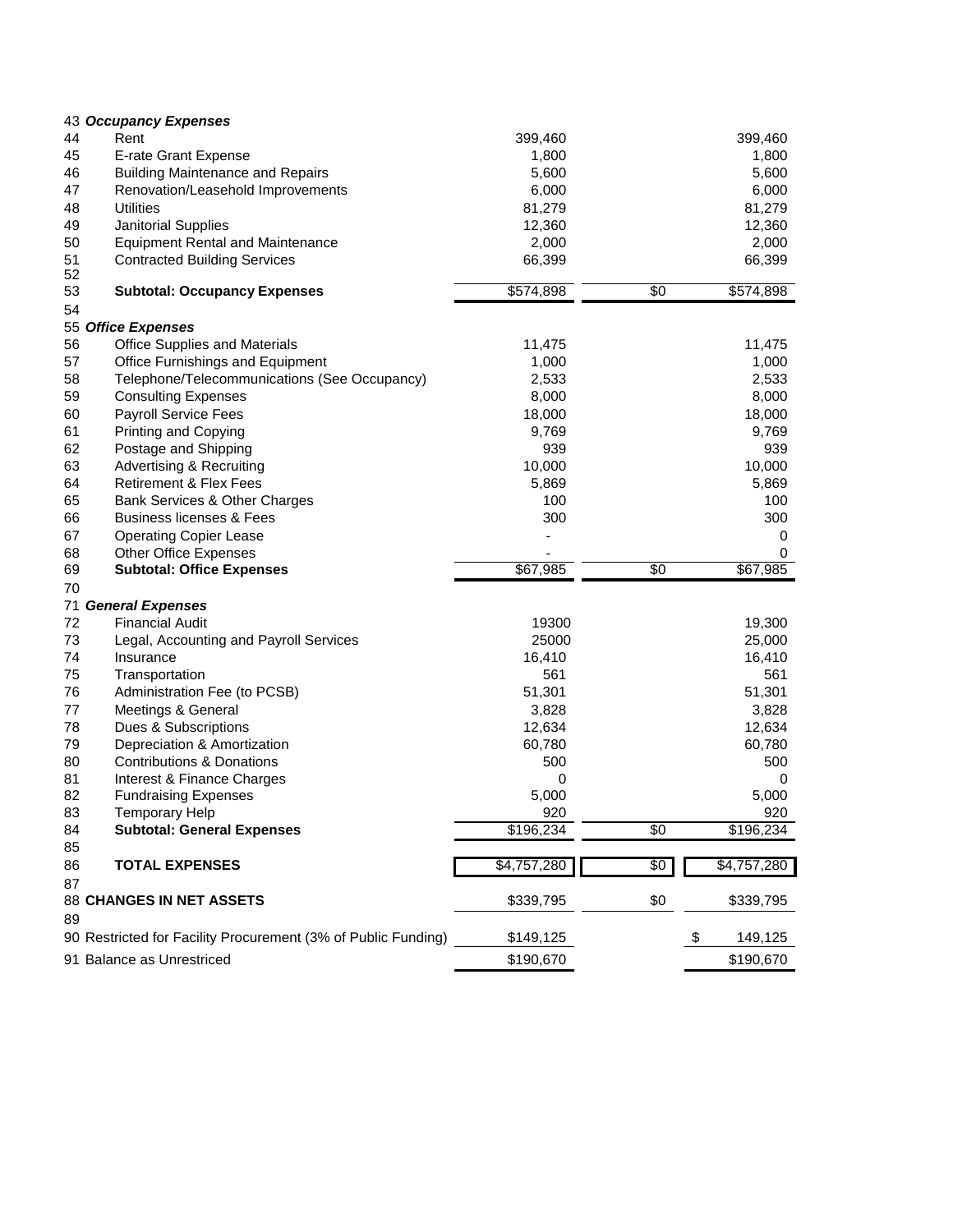|    | 43 Occupancy Expenses                                         |             |                 |             |
|----|---------------------------------------------------------------|-------------|-----------------|-------------|
| 44 | Rent                                                          | 399,460     |                 | 399,460     |
| 45 | E-rate Grant Expense                                          | 1,800       |                 | 1,800       |
| 46 | <b>Building Maintenance and Repairs</b>                       | 5,600       |                 | 5,600       |
| 47 | Renovation/Leasehold Improvements                             | 6,000       |                 | 6,000       |
| 48 | <b>Utilities</b>                                              | 81,279      |                 | 81,279      |
| 49 | Janitorial Supplies                                           | 12,360      |                 | 12,360      |
| 50 | <b>Equipment Rental and Maintenance</b>                       | 2,000       |                 | 2,000       |
| 51 | <b>Contracted Building Services</b>                           | 66,399      |                 | 66,399      |
| 52 |                                                               |             |                 |             |
| 53 | <b>Subtotal: Occupancy Expenses</b>                           | \$574,898   | $\overline{50}$ | \$574,898   |
| 54 |                                                               |             |                 |             |
|    | 55 Office Expenses                                            |             |                 |             |
| 56 | <b>Office Supplies and Materials</b>                          | 11,475      |                 | 11,475      |
| 57 | Office Furnishings and Equipment                              | 1,000       |                 | 1,000       |
| 58 | Telephone/Telecommunications (See Occupancy)                  | 2,533       |                 | 2,533       |
| 59 | <b>Consulting Expenses</b>                                    | 8,000       |                 | 8,000       |
| 60 | Payroll Service Fees                                          | 18,000      |                 | 18,000      |
| 61 | Printing and Copying                                          | 9,769       |                 | 9,769       |
| 62 | Postage and Shipping                                          | 939         |                 | 939         |
| 63 | <b>Advertising &amp; Recruiting</b>                           | 10,000      |                 | 10,000      |
| 64 | <b>Retirement &amp; Flex Fees</b>                             | 5,869       |                 | 5,869       |
| 65 | Bank Services & Other Charges                                 | 100         |                 | 100         |
| 66 | <b>Business licenses &amp; Fees</b>                           | 300         |                 | 300         |
| 67 | <b>Operating Copier Lease</b>                                 |             |                 | 0           |
| 68 | Other Office Expenses                                         |             |                 | 0           |
| 69 | <b>Subtotal: Office Expenses</b>                              | \$67,985    | $\overline{50}$ | \$67,985    |
| 70 |                                                               |             |                 |             |
|    | 71 General Expenses                                           |             |                 |             |
| 72 | <b>Financial Audit</b>                                        | 19300       |                 | 19,300      |
| 73 | Legal, Accounting and Payroll Services                        | 25000       |                 | 25,000      |
| 74 | Insurance                                                     | 16,410      |                 | 16,410      |
| 75 | Transportation                                                | 561         |                 | 561         |
| 76 | Administration Fee (to PCSB)                                  | 51,301      |                 | 51,301      |
| 77 | Meetings & General                                            | 3,828       |                 | 3,828       |
| 78 | Dues & Subscriptions                                          | 12,634      |                 | 12,634      |
| 79 | Depreciation & Amortization                                   | 60,780      |                 | 60,780      |
| 80 | <b>Contributions &amp; Donations</b>                          | 500         |                 | 500         |
| 81 | Interest & Finance Charges                                    | 0           |                 | 0           |
| 82 | <b>Fundraising Expenses</b>                                   | 5,000       |                 | 5,000       |
| 83 | Temporary Help                                                | 920         |                 | 920         |
| 84 | <b>Subtotal: General Expenses</b>                             | \$196,234   | $\overline{50}$ | \$196,234   |
| 85 |                                                               |             |                 |             |
| 86 | <b>TOTAL EXPENSES</b>                                         | \$4,757,280 | \$0             | \$4,757,280 |
| 87 |                                                               |             |                 |             |
|    | 88 CHANGES IN NET ASSETS                                      | \$339,795   | \$0             | \$339,795   |
| 89 |                                                               |             |                 |             |
|    | 90 Restricted for Facility Procurement (3% of Public Funding) |             |                 |             |
|    |                                                               | \$149,125   | \$              | 149,125     |
|    | 91 Balance as Unrestriced                                     | \$190,670   |                 | \$190,670   |